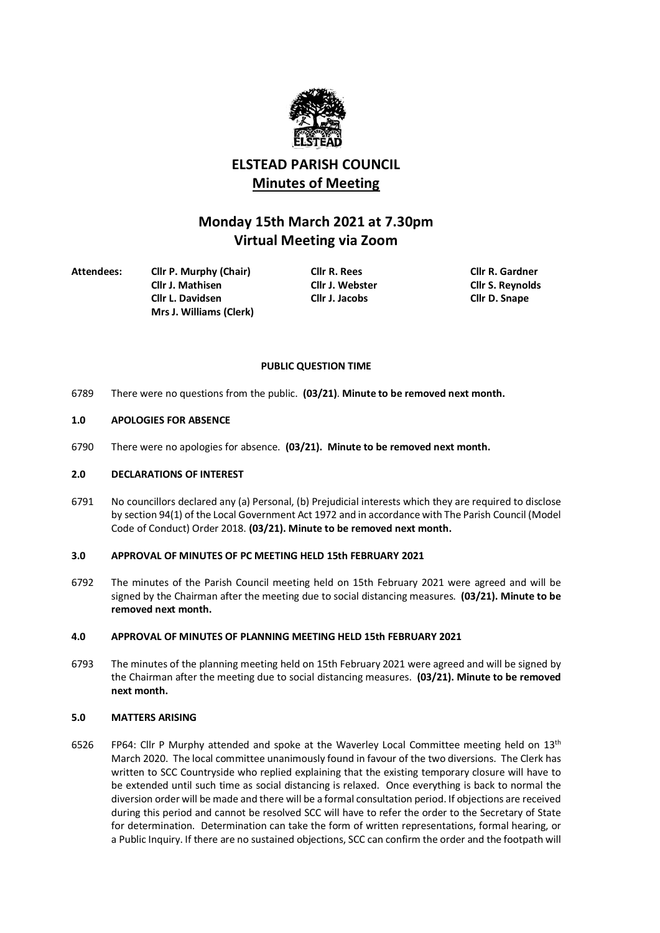

# **ELSTEAD PARISH COUNCIL Minutes of Meeting**

# **Monday 15th March 2021 at 7.30pm Virtual Meeting via Zoom**

**Attendees: Cllr P. Murphy (Chair) Cllr R. Rees Cllr R. Gardner Cllr L. Davidsen Cllr J. Jacobs Cllr D. Snape Mrs J. Williams (Clerk)**

**Cllr J. Mathisen Cllr J. Webster Cllr S. Reynolds**

# **PUBLIC QUESTION TIME**

6789 There were no questions from the public. **(03/21)**. **Minute to be removed next month.**

# **1.0 APOLOGIES FOR ABSENCE**

6790 There were no apologies for absence. **(03/21). Minute to be removed next month.**

#### **2.0 DECLARATIONS OF INTEREST**

6791 No councillors declared any (a) Personal, (b) Prejudicial interests which they are required to disclose by section 94(1) of the Local Government Act 1972 and in accordance with The Parish Council (Model Code of Conduct) Order 2018. **(03/21). Minute to be removed next month.**

# **3.0 APPROVAL OF MINUTES OF PC MEETING HELD 15th FEBRUARY 2021**

6792 The minutes of the Parish Council meeting held on 15th February 2021 were agreed and will be signed by the Chairman after the meeting due to social distancing measures. **(03/21). Minute to be removed next month.**

# **4.0 APPROVAL OF MINUTES OF PLANNING MEETING HELD 15th FEBRUARY 2021**

6793 The minutes of the planning meeting held on 15th February 2021 were agreed and will be signed by the Chairman after the meeting due to social distancing measures. **(03/21). Minute to be removed next month.**

# **5.0 MATTERS ARISING**

6526 FP64: Cllr P Murphy attended and spoke at the Waverley Local Committee meeting held on 13<sup>th</sup> March 2020. The local committee unanimously found in favour of the two diversions. The Clerk has written to SCC Countryside who replied explaining that the existing temporary closure will have to be extended until such time as social distancing is relaxed. Once everything is back to normal the diversion order will be made and there will be a formal consultation period. If objections are received during this period and cannot be resolved SCC will have to refer the order to the Secretary of State for determination. Determination can take the form of written representations, formal hearing, or a Public Inquiry. If there are no sustained objections, SCC can confirm the order and the footpath will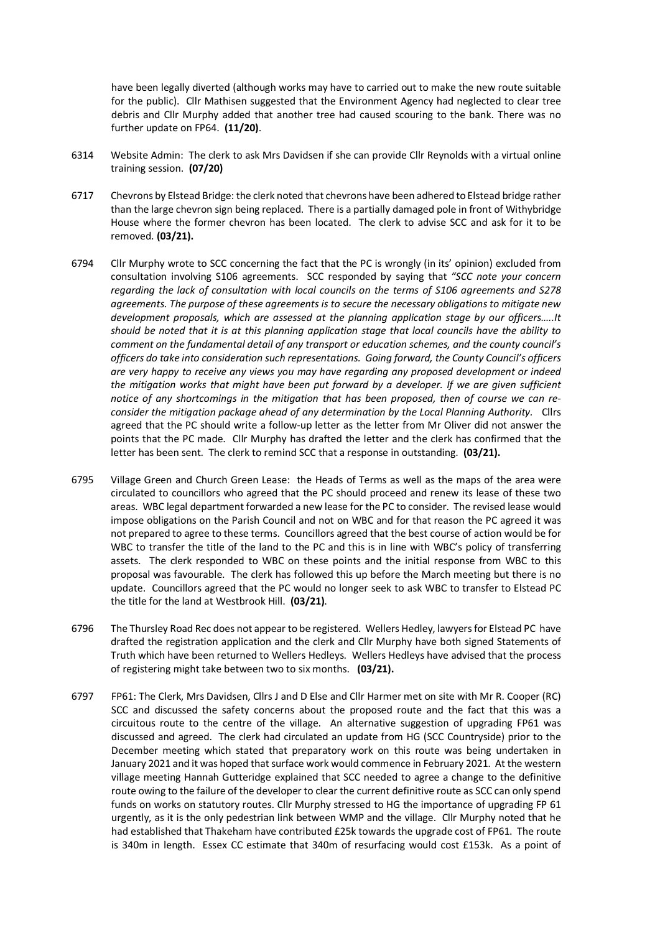have been legally diverted (although works may have to carried out to make the new route suitable for the public). Cllr Mathisen suggested that the Environment Agency had neglected to clear tree debris and Cllr Murphy added that another tree had caused scouring to the bank. There was no further update on FP64. **(11/20)**.

- 6314 Website Admin: The clerk to ask Mrs Davidsen if she can provide Cllr Reynolds with a virtual online training session. **(07/20)**
- 6717 Chevrons by Elstead Bridge: the clerk noted that chevrons have been adhered to Elstead bridge rather than the large chevron sign being replaced. There is a partially damaged pole in front of Withybridge House where the former chevron has been located. The clerk to advise SCC and ask for it to be removed. **(03/21).**
- 6794 Cllr Murphy wrote to SCC concerning the fact that the PC is wrongly (in its' opinion) excluded from consultation involving S106 agreements. SCC responded by saying that *"SCC note your concern regarding the lack of consultation with local councils on the terms of S106 agreements and S278 agreements. The purpose of these agreements is to secure the necessary obligations to mitigate new development proposals, which are assessed at the planning application stage by our officers…..It should be noted that it is at this planning application stage that local councils have the ability to comment on the fundamental detail of any transport or education schemes, and the county council's officers do take into consideration such representations. Going forward, the County Council's officers are very happy to receive any views you may have regarding any proposed development or indeed the mitigation works that might have been put forward by a developer. If we are given sufficient notice of any shortcomings in the mitigation that has been proposed, then of course we can reconsider the mitigation package ahead of any determination by the Local Planning Authority.* Cllrs agreed that the PC should write a follow-up letter as the letter from Mr Oliver did not answer the points that the PC made. Cllr Murphy has drafted the letter and the clerk has confirmed that the letter has been sent. The clerk to remind SCC that a response in outstanding. **(03/21).**
- 6795 Village Green and Church Green Lease: the Heads of Terms as well as the maps of the area were circulated to councillors who agreed that the PC should proceed and renew its lease of these two areas. WBC legal department forwarded a new lease for the PC to consider. The revised lease would impose obligations on the Parish Council and not on WBC and for that reason the PC agreed it was not prepared to agree to these terms. Councillors agreed that the best course of action would be for WBC to transfer the title of the land to the PC and this is in line with WBC's policy of transferring assets. The clerk responded to WBC on these points and the initial response from WBC to this proposal was favourable. The clerk has followed this up before the March meeting but there is no update. Councillors agreed that the PC would no longer seek to ask WBC to transfer to Elstead PC the title for the land at Westbrook Hill. **(03/21)**.
- 6796 The Thursley Road Rec does not appear to be registered. Wellers Hedley, lawyers for Elstead PC have drafted the registration application and the clerk and Cllr Murphy have both signed Statements of Truth which have been returned to Wellers Hedleys. Wellers Hedleys have advised that the process of registering might take between two to six months. **(03/21).**
- 6797 FP61: The Clerk, Mrs Davidsen, Cllrs J and D Else and Cllr Harmer met on site with Mr R. Cooper (RC) SCC and discussed the safety concerns about the proposed route and the fact that this was a circuitous route to the centre of the village. An alternative suggestion of upgrading FP61 was discussed and agreed. The clerk had circulated an update from HG (SCC Countryside) prior to the December meeting which stated that preparatory work on this route was being undertaken in January 2021 and it was hoped that surface work would commence in February 2021. At the western village meeting Hannah Gutteridge explained that SCC needed to agree a change to the definitive route owing to the failure of the developer to clear the current definitive route as SCC can only spend funds on works on statutory routes. Cllr Murphy stressed to HG the importance of upgrading FP 61 urgently, as it is the only pedestrian link between WMP and the village. Cllr Murphy noted that he had established that Thakeham have contributed £25k towards the upgrade cost of FP61. The route is 340m in length. Essex CC estimate that 340m of resurfacing would cost £153k. As a point of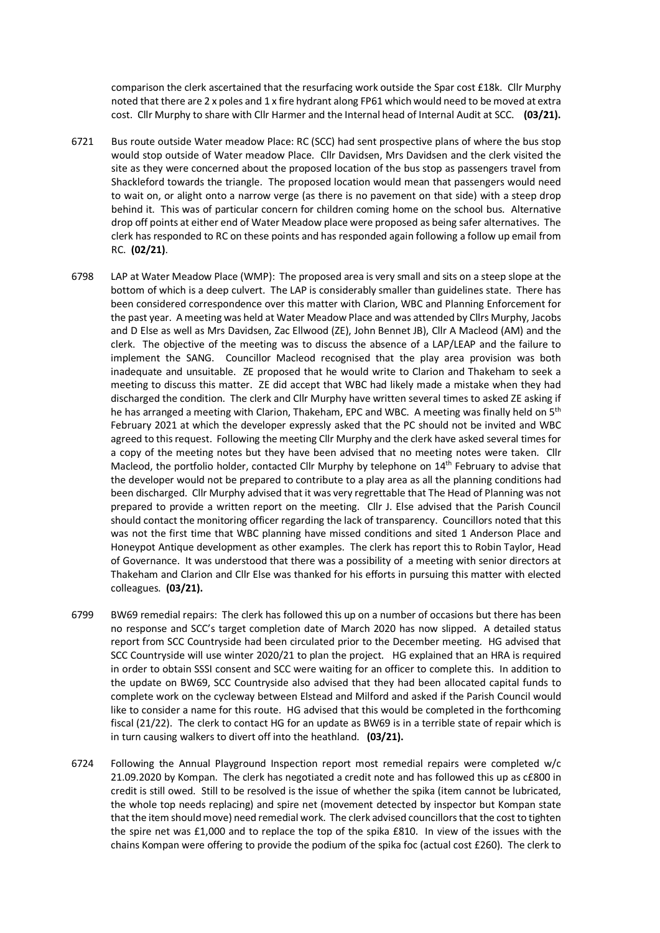comparison the clerk ascertained that the resurfacing work outside the Spar cost £18k. Cllr Murphy noted that there are 2 x poles and 1 x fire hydrant along FP61 which would need to be moved at extra cost. Cllr Murphy to share with Cllr Harmer and the Internal head of Internal Audit at SCC. **(03/21).** 

- 6721 Bus route outside Water meadow Place: RC (SCC) had sent prospective plans of where the bus stop would stop outside of Water meadow Place. Cllr Davidsen, Mrs Davidsen and the clerk visited the site as they were concerned about the proposed location of the bus stop as passengers travel from Shackleford towards the triangle. The proposed location would mean that passengers would need to wait on, or alight onto a narrow verge (as there is no pavement on that side) with a steep drop behind it. This was of particular concern for children coming home on the school bus. Alternative drop off points at either end of Water Meadow place were proposed as being safer alternatives. The clerk has responded to RC on these points and has responded again following a follow up email from RC. **(02/21)**.
- 6798 LAP at Water Meadow Place (WMP): The proposed area is very small and sits on a steep slope at the bottom of which is a deep culvert. The LAP is considerably smaller than guidelines state. There has been considered correspondence over this matter with Clarion, WBC and Planning Enforcement for the past year. A meeting was held at Water Meadow Place and was attended by Cllrs Murphy, Jacobs and D Else as well as Mrs Davidsen, Zac Ellwood (ZE), John Bennet JB), Cllr A Macleod (AM) and the clerk. The objective of the meeting was to discuss the absence of a LAP/LEAP and the failure to implement the SANG. Councillor Macleod recognised that the play area provision was both inadequate and unsuitable. ZE proposed that he would write to Clarion and Thakeham to seek a meeting to discuss this matter. ZE did accept that WBC had likely made a mistake when they had discharged the condition. The clerk and Cllr Murphy have written several times to asked ZE asking if he has arranged a meeting with Clarion, Thakeham, EPC and WBC. A meeting was finally held on 5<sup>th</sup> February 2021 at which the developer expressly asked that the PC should not be invited and WBC agreed to this request. Following the meeting Cllr Murphy and the clerk have asked several times for a copy of the meeting notes but they have been advised that no meeting notes were taken. Cllr Macleod, the portfolio holder, contacted Cllr Murphy by telephone on 14<sup>th</sup> February to advise that the developer would not be prepared to contribute to a play area as all the planning conditions had been discharged. Cllr Murphy advised that it was very regrettable that The Head of Planning was not prepared to provide a written report on the meeting. Cllr J. Else advised that the Parish Council should contact the monitoring officer regarding the lack of transparency. Councillors noted that this was not the first time that WBC planning have missed conditions and sited 1 Anderson Place and Honeypot Antique development as other examples. The clerk has report this to Robin Taylor, Head of Governance. It was understood that there was a possibility of a meeting with senior directors at Thakeham and Clarion and Cllr Else was thanked for his efforts in pursuing this matter with elected colleagues. **(03/21).**
- 6799 BW69 remedial repairs: The clerk has followed this up on a number of occasions but there has been no response and SCC's target completion date of March 2020 has now slipped. A detailed status report from SCC Countryside had been circulated prior to the December meeting. HG advised that SCC Countryside will use winter 2020/21 to plan the project. HG explained that an HRA is required in order to obtain SSSI consent and SCC were waiting for an officer to complete this. In addition to the update on BW69, SCC Countryside also advised that they had been allocated capital funds to complete work on the cycleway between Elstead and Milford and asked if the Parish Council would like to consider a name for this route. HG advised that this would be completed in the forthcoming fiscal (21/22). The clerk to contact HG for an update as BW69 is in a terrible state of repair which is in turn causing walkers to divert off into the heathland. **(03/21).**
- 6724 Following the Annual Playground Inspection report most remedial repairs were completed w/c 21.09.2020 by Kompan. The clerk has negotiated a credit note and has followed this up as c£800 in credit is still owed. Still to be resolved is the issue of whether the spika (item cannot be lubricated, the whole top needs replacing) and spire net (movement detected by inspector but Kompan state that the item should move) need remedial work. The clerk advised councillors that the cost to tighten the spire net was £1,000 and to replace the top of the spika £810. In view of the issues with the chains Kompan were offering to provide the podium of the spika foc (actual cost £260). The clerk to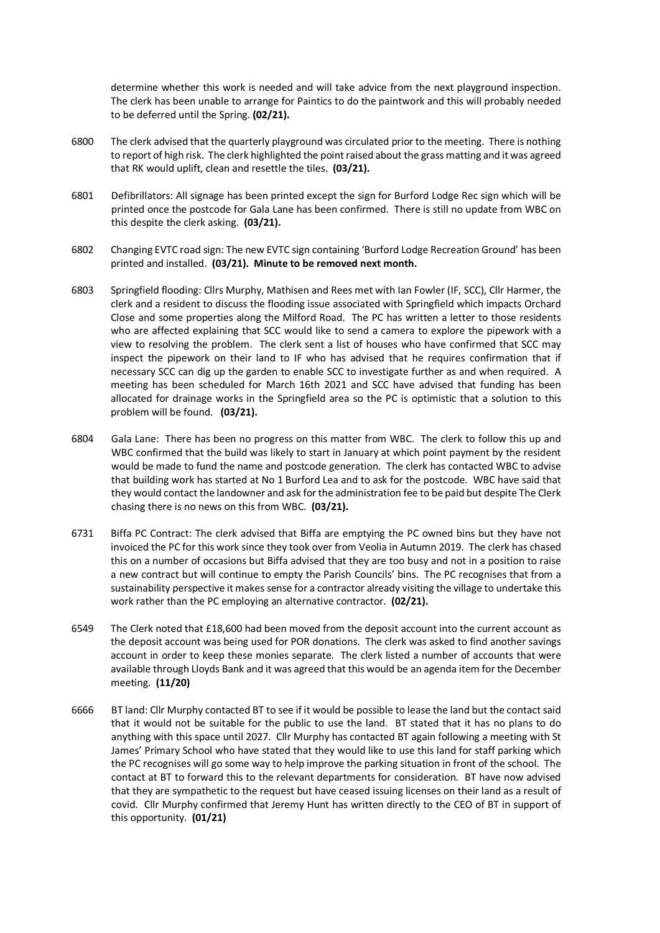determine whether this work is needed and will take advice from the next playground inspection. The clerk has been unable to arrange for Paintics to do the paintwork and this will probably needed to be deferred until the Spring. **(02/21).**

- 6800 The clerk advised that the quarterly playground was circulated prior to the meeting. There is nothing to report of high risk. The clerk highlighted the point raised about the grass matting and it was agreed that RK would uplift, clean and resettle the tiles. **(03/21).**
- 6801 Defibrillators: All signage has been printed except the sign for Burford Lodge Rec sign which will be printed once the postcode for Gala Lane has been confirmed. There is still no update from WBC on this despite the clerk asking. **(03/21).**
- 6802 Changing EVTC road sign: The new EVTC sign containing 'Burford Lodge Recreation Ground' has been printed and installed. **(03/21). Minute to be removed next month.**
- 6803 Springfield flooding: Cllrs Murphy, Mathisen and Rees met with Ian Fowler (IF, SCC), Cllr Harmer, the clerk and a resident to discuss the flooding issue associated with Springfield which impacts Orchard Close and some properties along the Milford Road. The PC has written a letter to those residents who are affected explaining that SCC would like to send a camera to explore the pipework with a view to resolving the problem. The clerk sent a list of houses who have confirmed that SCC may inspect the pipework on their land to IF who has advised that he requires confirmation that if necessary SCC can dig up the garden to enable SCC to investigate further as and when required. A meeting has been scheduled for March 16th 2021 and SCC have advised that funding has been allocated for drainage works in the Springfield area so the PC is optimistic that a solution to this problem will be found. **(03/21).**
- 6804 Gala Lane: There has been no progress on this matter from WBC. The clerk to follow this up and WBC confirmed that the build was likely to start in January at which point payment by the resident would be made to fund the name and postcode generation. The clerk has contacted WBC to advise that building work has started at No 1 Burford Lea and to ask for the postcode. WBC have said that they would contact the landowner and ask for the administration fee to be paid but despite The Clerk chasing there is no news on this from WBC. **(03/21).**
- 6731 Biffa PC Contract: The clerk advised that Biffa are emptying the PC owned bins but they have not invoiced the PC for this work since they took over from Veolia in Autumn 2019. The clerk has chased this on a number of occasions but Biffa advised that they are too busy and not in a position to raise a new contract but will continue to empty the Parish Councils' bins. The PC recognises that from a sustainability perspective it makes sense for a contractor already visiting the village to undertake this work rather than the PC employing an alternative contractor. **(02/21).**
- 6549 The Clerk noted that £18,600 had been moved from the deposit account into the current account as the deposit account was being used for POR donations. The clerk was asked to find another savings account in order to keep these monies separate. The clerk listed a number of accounts that were available through Lloyds Bank and it was agreed that this would be an agenda item for the December meeting. **(11/20)**
- 6666 BT land: Cllr Murphy contacted BT to see if it would be possible to lease the land but the contact said that it would not be suitable for the public to use the land. BT stated that it has no plans to do anything with this space until 2027. Cllr Murphy has contacted BT again following a meeting with St James' Primary School who have stated that they would like to use this land for staff parking which the PC recognises will go some way to help improve the parking situation in front of the school. The contact at BT to forward this to the relevant departments for consideration. BT have now advised that they are sympathetic to the request but have ceased issuing licenses on their land as a result of covid. Cllr Murphy confirmed that Jeremy Hunt has written directly to the CEO of BT in support of this opportunity. **(01/21)**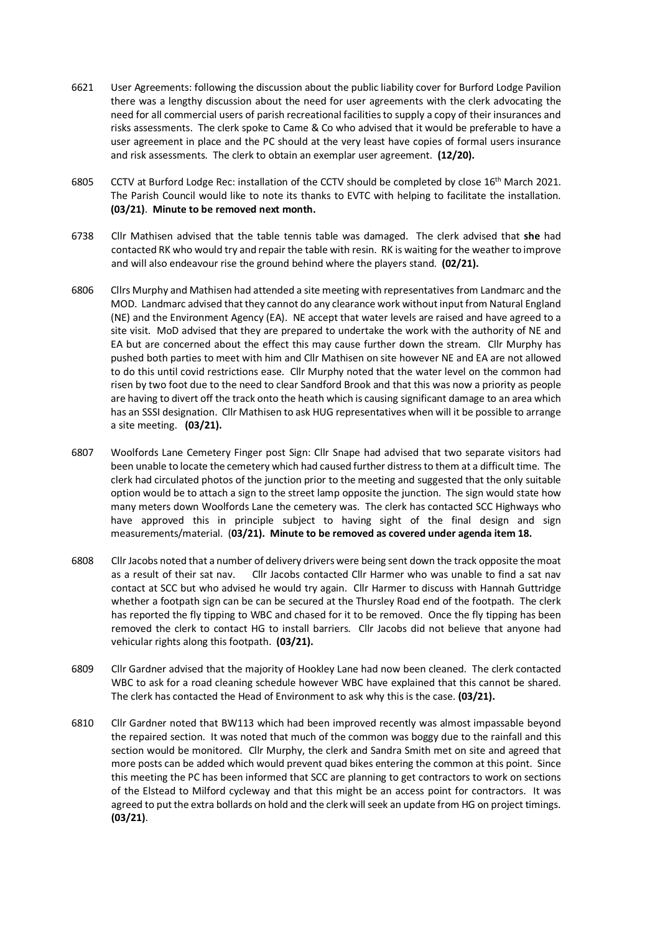- 6621 User Agreements: following the discussion about the public liability cover for Burford Lodge Pavilion there was a lengthy discussion about the need for user agreements with the clerk advocating the need for all commercial users of parish recreational facilities to supply a copy of their insurances and risks assessments. The clerk spoke to Came & Co who advised that it would be preferable to have a user agreement in place and the PC should at the very least have copies of formal users insurance and risk assessments. The clerk to obtain an exemplar user agreement. **(12/20).**
- 6805 CCTV at Burford Lodge Rec: installation of the CCTV should be completed by close 16<sup>th</sup> March 2021. The Parish Council would like to note its thanks to EVTC with helping to facilitate the installation. **(03/21)**. **Minute to be removed next month.**
- 6738 Cllr Mathisen advised that the table tennis table was damaged. The clerk advised that **she** had contacted RK who would try and repair the table with resin. RK is waiting for the weather to improve and will also endeavour rise the ground behind where the players stand. **(02/21).**
- 6806 Cllrs Murphy and Mathisen had attended a site meeting with representatives from Landmarc and the MOD. Landmarc advised that they cannot do any clearance work without input from Natural England (NE) and the Environment Agency (EA). NE accept that water levels are raised and have agreed to a site visit. MoD advised that they are prepared to undertake the work with the authority of NE and EA but are concerned about the effect this may cause further down the stream. Cllr Murphy has pushed both parties to meet with him and Cllr Mathisen on site however NE and EA are not allowed to do this until covid restrictions ease. Cllr Murphy noted that the water level on the common had risen by two foot due to the need to clear Sandford Brook and that this was now a priority as people are having to divert off the track onto the heath which is causing significant damage to an area which has an SSSI designation. Cllr Mathisen to ask HUG representatives when will it be possible to arrange a site meeting. **(03/21).**
- 6807 Woolfords Lane Cemetery Finger post Sign: Cllr Snape had advised that two separate visitors had been unable to locate the cemetery which had caused further distress to them at a difficult time. The clerk had circulated photos of the junction prior to the meeting and suggested that the only suitable option would be to attach a sign to the street lamp opposite the junction. The sign would state how many meters down Woolfords Lane the cemetery was. The clerk has contacted SCC Highways who have approved this in principle subject to having sight of the final design and sign measurements/material. (**03/21). Minute to be removed as covered under agenda item 18.**
- 6808 Cllr Jacobs noted that a number of delivery drivers were being sent down the track opposite the moat as a result of their sat nav. Cllr Jacobs contacted Cllr Harmer who was unable to find a sat nav contact at SCC but who advised he would try again. Cllr Harmer to discuss with Hannah Guttridge whether a footpath sign can be can be secured at the Thursley Road end of the footpath. The clerk has reported the fly tipping to WBC and chased for it to be removed. Once the fly tipping has been removed the clerk to contact HG to install barriers. Cllr Jacobs did not believe that anyone had vehicular rights along this footpath. **(03/21).**
- 6809 Cllr Gardner advised that the majority of Hookley Lane had now been cleaned. The clerk contacted WBC to ask for a road cleaning schedule however WBC have explained that this cannot be shared. The clerk has contacted the Head of Environment to ask why this is the case. **(03/21).**
- 6810 Cllr Gardner noted that BW113 which had been improved recently was almost impassable beyond the repaired section. It was noted that much of the common was boggy due to the rainfall and this section would be monitored. Cllr Murphy, the clerk and Sandra Smith met on site and agreed that more posts can be added which would prevent quad bikes entering the common at this point. Since this meeting the PC has been informed that SCC are planning to get contractors to work on sections of the Elstead to Milford cycleway and that this might be an access point for contractors. It was agreed to put the extra bollards on hold and the clerk will seek an update from HG on project timings. **(03/21)**.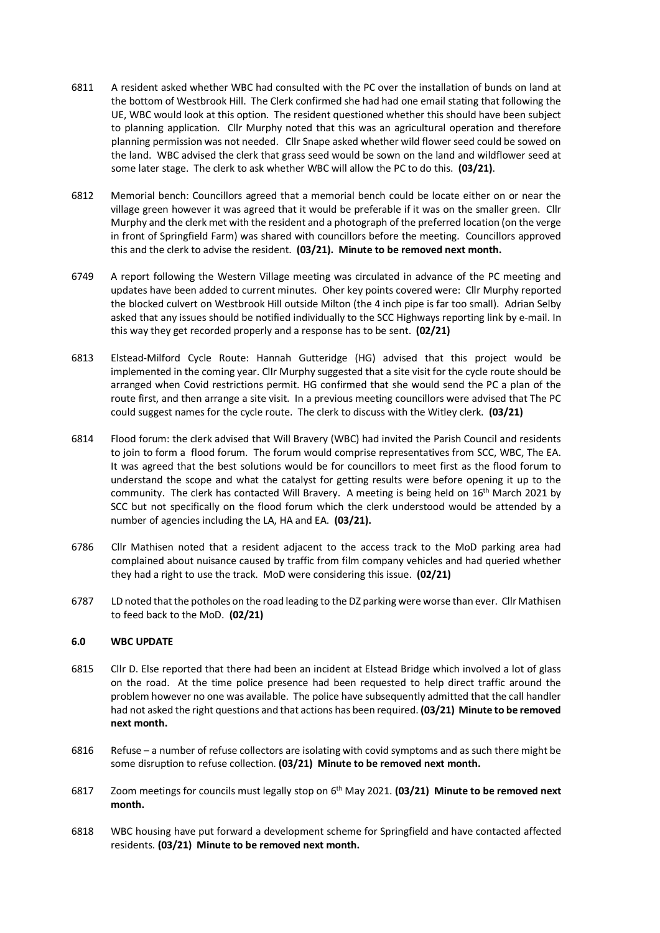- 6811 A resident asked whether WBC had consulted with the PC over the installation of bunds on land at the bottom of Westbrook Hill. The Clerk confirmed she had had one email stating that following the UE, WBC would look at this option. The resident questioned whether this should have been subject to planning application. Cllr Murphy noted that this was an agricultural operation and therefore planning permission was not needed. Cllr Snape asked whether wild flower seed could be sowed on the land. WBC advised the clerk that grass seed would be sown on the land and wildflower seed at some later stage. The clerk to ask whether WBC will allow the PC to do this. **(03/21)**.
- 6812 Memorial bench: Councillors agreed that a memorial bench could be locate either on or near the village green however it was agreed that it would be preferable if it was on the smaller green. Cllr Murphy and the clerk met with the resident and a photograph of the preferred location (on the verge in front of Springfield Farm) was shared with councillors before the meeting. Councillors approved this and the clerk to advise the resident. **(03/21). Minute to be removed next month.**
- 6749 A report following the Western Village meeting was circulated in advance of the PC meeting and updates have been added to current minutes. Oher key points covered were: Cllr Murphy reported the blocked culvert on Westbrook Hill outside Milton (the 4 inch pipe is far too small). Adrian Selby asked that any issues should be notified individually to the SCC Highways reporting link by e-mail. In this way they get recorded properly and a response has to be sent. **(02/21)**
- 6813 Elstead-Milford Cycle Route: Hannah Gutteridge (HG) advised that this project would be implemented in the coming year. ClIr Murphy suggested that a site visit for the cycle route should be arranged when Covid restrictions permit. HG confirmed that she would send the PC a plan of the route first, and then arrange a site visit. In a previous meeting councillors were advised that The PC could suggest names for the cycle route. The clerk to discuss with the Witley clerk. **(03/21)**
- 6814 Flood forum: the clerk advised that Will Bravery (WBC) had invited the Parish Council and residents to join to form a flood forum. The forum would comprise representatives from SCC, WBC, The EA. It was agreed that the best solutions would be for councillors to meet first as the flood forum to understand the scope and what the catalyst for getting results were before opening it up to the community. The clerk has contacted Will Bravery. A meeting is being held on  $16<sup>th</sup>$  March 2021 by SCC but not specifically on the flood forum which the clerk understood would be attended by a number of agencies including the LA, HA and EA. **(03/21).**
- 6786 Cllr Mathisen noted that a resident adjacent to the access track to the MoD parking area had complained about nuisance caused by traffic from film company vehicles and had queried whether they had a right to use the track. MoD were considering this issue. **(02/21)**
- 6787 LD noted that the potholes on the road leading to the DZ parking were worse than ever. Cllr Mathisen to feed back to the MoD. **(02/21)**

# **6.0 WBC UPDATE**

- 6815 Cllr D. Else reported that there had been an incident at Elstead Bridge which involved a lot of glass on the road. At the time police presence had been requested to help direct traffic around the problem however no one was available. The police have subsequently admitted that the call handler had not asked the right questions and that actions has been required. **(03/21) Minute to be removed next month.**
- 6816 Refuse a number of refuse collectors are isolating with covid symptoms and as such there might be some disruption to refuse collection. **(03/21) Minute to be removed next month.**
- 6817 Zoom meetings for councils must legally stop on 6th May 2021. **(03/21) Minute to be removed next month.**
- 6818 WBC housing have put forward a development scheme for Springfield and have contacted affected residents. **(03/21) Minute to be removed next month.**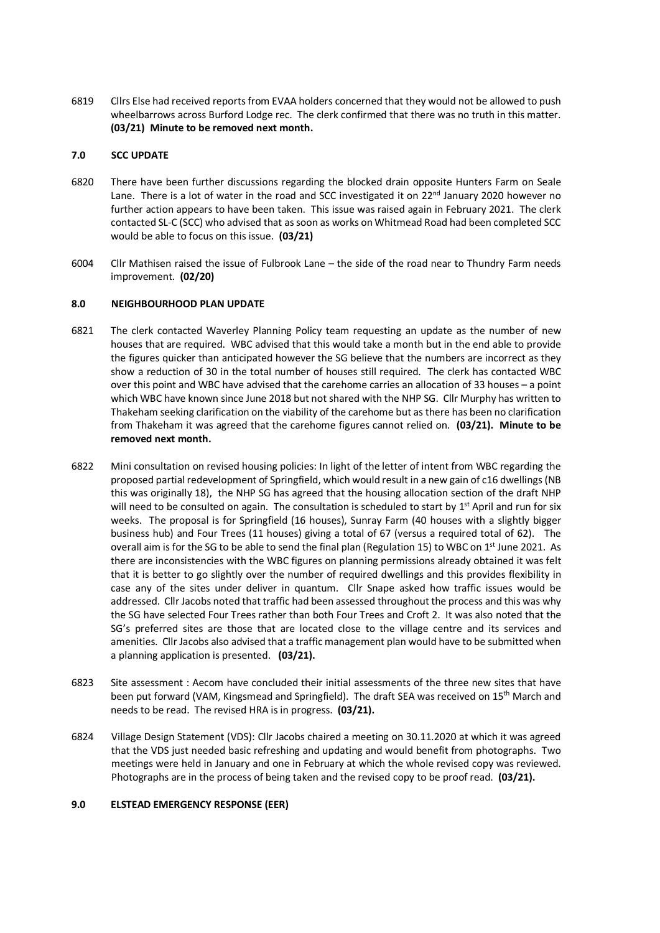6819 Cllrs Else had received reports from EVAA holders concerned that they would not be allowed to push wheelbarrows across Burford Lodge rec. The clerk confirmed that there was no truth in this matter. **(03/21) Minute to be removed next month.**

# **7.0 SCC UPDATE**

- 6820 There have been further discussions regarding the blocked drain opposite Hunters Farm on Seale Lane. There is a lot of water in the road and SCC investigated it on  $22^{nd}$  January 2020 however no further action appears to have been taken. This issue was raised again in February 2021. The clerk contacted SL-C (SCC) who advised that as soon as works on Whitmead Road had been completed SCC would be able to focus on this issue. **(03/21)**
- 6004 Cllr Mathisen raised the issue of Fulbrook Lane the side of the road near to Thundry Farm needs improvement. **(02/20)**

# **8.0 NEIGHBOURHOOD PLAN UPDATE**

- 6821 The clerk contacted Waverley Planning Policy team requesting an update as the number of new houses that are required. WBC advised that this would take a month but in the end able to provide the figures quicker than anticipated however the SG believe that the numbers are incorrect as they show a reduction of 30 in the total number of houses still required. The clerk has contacted WBC over this point and WBC have advised that the carehome carries an allocation of 33 houses – a point which WBC have known since June 2018 but not shared with the NHP SG. Cllr Murphy has written to Thakeham seeking clarification on the viability of the carehome but as there has been no clarification from Thakeham it was agreed that the carehome figures cannot relied on. **(03/21). Minute to be removed next month.**
- 6822 Mini consultation on revised housing policies: In light of the letter of intent from WBC regarding the proposed partial redevelopment of Springfield, which would result in a new gain of c16 dwellings(NB this was originally 18), the NHP SG has agreed that the housing allocation section of the draft NHP will need to be consulted on again. The consultation is scheduled to start by  $1<sup>st</sup>$  April and run for six weeks. The proposal is for Springfield (16 houses), Sunray Farm (40 houses with a slightly bigger business hub) and Four Trees (11 houses) giving a total of 67 (versus a required total of 62). The overall aim is for the SG to be able to send the final plan (Regulation 15) to WBC on 1<sup>st</sup> June 2021. As there are inconsistencies with the WBC figures on planning permissions already obtained it was felt that it is better to go slightly over the number of required dwellings and this provides flexibility in case any of the sites under deliver in quantum. Cllr Snape asked how traffic issues would be addressed. Cllr Jacobs noted that traffic had been assessed throughout the process and this was why the SG have selected Four Trees rather than both Four Trees and Croft 2. It was also noted that the SG's preferred sites are those that are located close to the village centre and its services and amenities. Cllr Jacobs also advised that a traffic management plan would have to be submitted when a planning application is presented. **(03/21).**
- 6823 Site assessment : Aecom have concluded their initial assessments of the three new sites that have been put forward (VAM, Kingsmead and Springfield). The draft SEA was received on 15<sup>th</sup> March and needs to be read. The revised HRA is in progress. **(03/21).**
- 6824 Village Design Statement (VDS): Cllr Jacobs chaired a meeting on 30.11.2020 at which it was agreed that the VDS just needed basic refreshing and updating and would benefit from photographs. Two meetings were held in January and one in February at which the whole revised copy was reviewed. Photographs are in the process of being taken and the revised copy to be proof read. **(03/21).**

# **9.0 ELSTEAD EMERGENCY RESPONSE (EER)**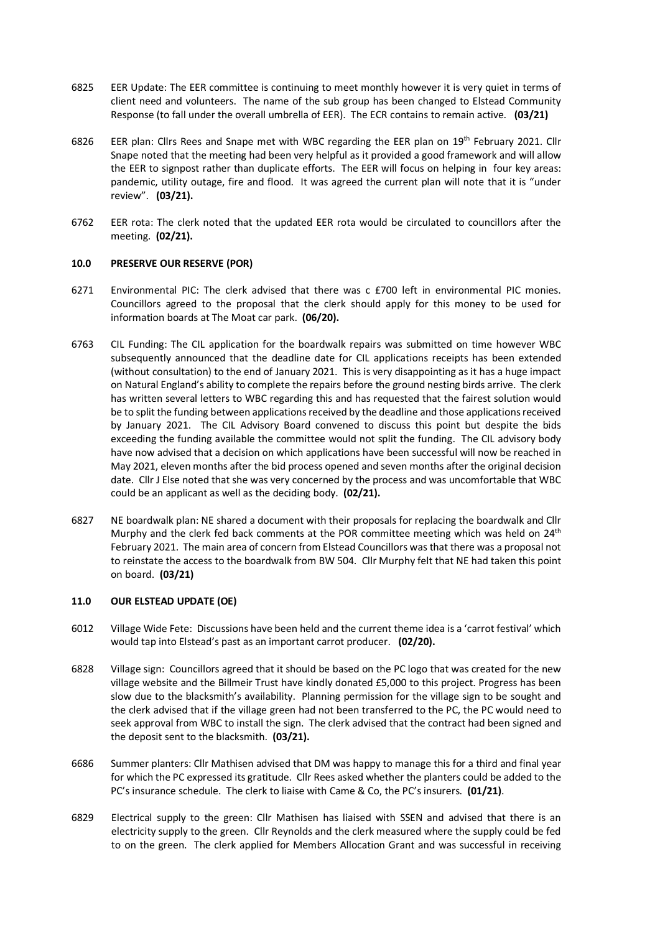- 6825 EER Update: The EER committee is continuing to meet monthly however it is very quiet in terms of client need and volunteers. The name of the sub group has been changed to Elstead Community Response (to fall under the overall umbrella of EER). The ECR contains to remain active. **(03/21)**
- 6826 EER plan: Cllrs Rees and Snape met with WBC regarding the EER plan on 19<sup>th</sup> February 2021. Cllr Snape noted that the meeting had been very helpful as it provided a good framework and will allow the EER to signpost rather than duplicate efforts. The EER will focus on helping in four key areas: pandemic, utility outage, fire and flood. It was agreed the current plan will note that it is "under review". **(03/21).**
- 6762 EER rota: The clerk noted that the updated EER rota would be circulated to councillors after the meeting. **(02/21).**

## **10.0 PRESERVE OUR RESERVE (POR)**

- 6271 Environmental PIC: The clerk advised that there was c £700 left in environmental PIC monies. Councillors agreed to the proposal that the clerk should apply for this money to be used for information boards at The Moat car park. **(06/20).**
- 6763 CIL Funding: The CIL application for the boardwalk repairs was submitted on time however WBC subsequently announced that the deadline date for CIL applications receipts has been extended (without consultation) to the end of January 2021. This is very disappointing as it has a huge impact on Natural England's ability to complete the repairs before the ground nesting birds arrive. The clerk has written several letters to WBC regarding this and has requested that the fairest solution would be to split the funding between applications received by the deadline and those applications received by January 2021. The CIL Advisory Board convened to discuss this point but despite the bids exceeding the funding available the committee would not split the funding. The CIL advisory body have now advised that a decision on which applications have been successful will now be reached in May 2021, eleven months after the bid process opened and seven months after the original decision date. Cllr J Else noted that she was very concerned by the process and was uncomfortable that WBC could be an applicant as well as the deciding body. **(02/21).**
- 6827 NE boardwalk plan: NE shared a document with their proposals for replacing the boardwalk and Cllr Murphy and the clerk fed back comments at the POR committee meeting which was held on 24<sup>th</sup> February 2021. The main area of concern from Elstead Councillors was that there was a proposal not to reinstate the access to the boardwalk from BW 504. Cllr Murphy felt that NE had taken this point on board. **(03/21)**

## **11.0 OUR ELSTEAD UPDATE (OE)**

- 6012 Village Wide Fete: Discussions have been held and the current theme idea is a 'carrot festival' which would tap into Elstead's past as an important carrot producer. **(02/20).**
- 6828 Village sign: Councillors agreed that it should be based on the PC logo that was created for the new village website and the Billmeir Trust have kindly donated £5,000 to this project. Progress has been slow due to the blacksmith's availability. Planning permission for the village sign to be sought and the clerk advised that if the village green had not been transferred to the PC, the PC would need to seek approval from WBC to install the sign. The clerk advised that the contract had been signed and the deposit sent to the blacksmith. **(03/21).**
- 6686 Summer planters: Cllr Mathisen advised that DM was happy to manage this for a third and final year for which the PC expressed its gratitude. Cllr Rees asked whether the planters could be added to the PC's insurance schedule. The clerk to liaise with Came & Co, the PC's insurers. **(01/21)**.
- 6829 Electrical supply to the green: Cllr Mathisen has liaised with SSEN and advised that there is an electricity supply to the green. Cllr Reynolds and the clerk measured where the supply could be fed to on the green. The clerk applied for Members Allocation Grant and was successful in receiving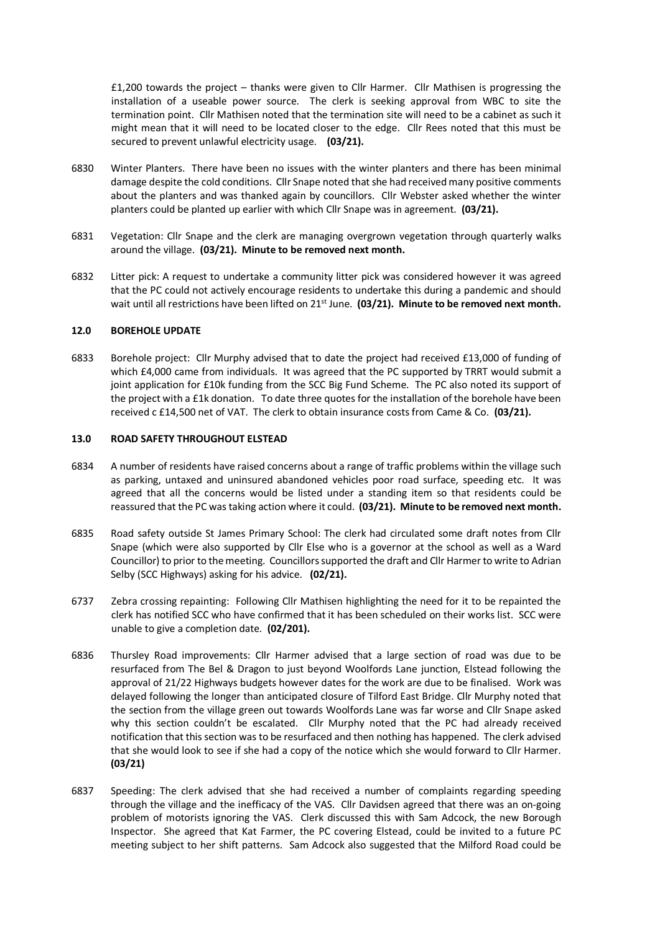£1,200 towards the project – thanks were given to Cllr Harmer. Cllr Mathisen is progressing the installation of a useable power source. The clerk is seeking approval from WBC to site the termination point. Cllr Mathisen noted that the termination site will need to be a cabinet as such it might mean that it will need to be located closer to the edge. Cllr Rees noted that this must be secured to prevent unlawful electricity usage. **(03/21).**

- 6830 Winter Planters. There have been no issues with the winter planters and there has been minimal damage despite the cold conditions. Cllr Snape noted that she had received many positive comments about the planters and was thanked again by councillors. Cllr Webster asked whether the winter planters could be planted up earlier with which Cllr Snape was in agreement. **(03/21).**
- 6831 Vegetation: Cllr Snape and the clerk are managing overgrown vegetation through quarterly walks around the village. **(03/21). Minute to be removed next month.**
- 6832 Litter pick: A request to undertake a community litter pick was considered however it was agreed that the PC could not actively encourage residents to undertake this during a pandemic and should wait until all restrictions have been lifted on 21<sup>st</sup> June. **(03/21). Minute to be removed next month.**

#### **12.0 BOREHOLE UPDATE**

6833 Borehole project: Cllr Murphy advised that to date the project had received £13,000 of funding of which £4,000 came from individuals. It was agreed that the PC supported by TRRT would submit a joint application for £10k funding from the SCC Big Fund Scheme. The PC also noted its support of the project with a £1k donation. To date three quotes for the installation of the borehole have been received c £14,500 net of VAT. The clerk to obtain insurance costs from Came & Co. **(03/21).**

#### **13.0 ROAD SAFETY THROUGHOUT ELSTEAD**

- 6834 A number of residents have raised concerns about a range of traffic problems within the village such as parking, untaxed and uninsured abandoned vehicles poor road surface, speeding etc. It was agreed that all the concerns would be listed under a standing item so that residents could be reassured that the PC was taking action where it could. **(03/21). Minute to be removed next month.**
- 6835 Road safety outside St James Primary School: The clerk had circulated some draft notes from Cllr Snape (which were also supported by Cllr Else who is a governor at the school as well as a Ward Councillor) to prior to the meeting. Councillors supported the draft and Cllr Harmer to write to Adrian Selby (SCC Highways) asking for his advice. **(02/21).**
- 6737 Zebra crossing repainting: Following Cllr Mathisen highlighting the need for it to be repainted the clerk has notified SCC who have confirmed that it has been scheduled on their works list. SCC were unable to give a completion date. **(02/201).**
- 6836 Thursley Road improvements: Cllr Harmer advised that a large section of road was due to be resurfaced from The Bel & Dragon to just beyond Woolfords Lane junction, Elstead following the approval of 21/22 Highways budgets however dates for the work are due to be finalised. Work was delayed following the longer than anticipated closure of Tilford East Bridge. Cllr Murphy noted that the section from the village green out towards Woolfords Lane was far worse and Cllr Snape asked why this section couldn't be escalated. Cllr Murphy noted that the PC had already received notification that this section was to be resurfaced and then nothing has happened. The clerk advised that she would look to see if she had a copy of the notice which she would forward to Cllr Harmer. **(03/21)**
- 6837 Speeding: The clerk advised that she had received a number of complaints regarding speeding through the village and the inefficacy of the VAS. Cllr Davidsen agreed that there was an on-going problem of motorists ignoring the VAS. Clerk discussed this with Sam Adcock, the new Borough Inspector. She agreed that Kat Farmer, the PC covering Elstead, could be invited to a future PC meeting subject to her shift patterns. Sam Adcock also suggested that the Milford Road could be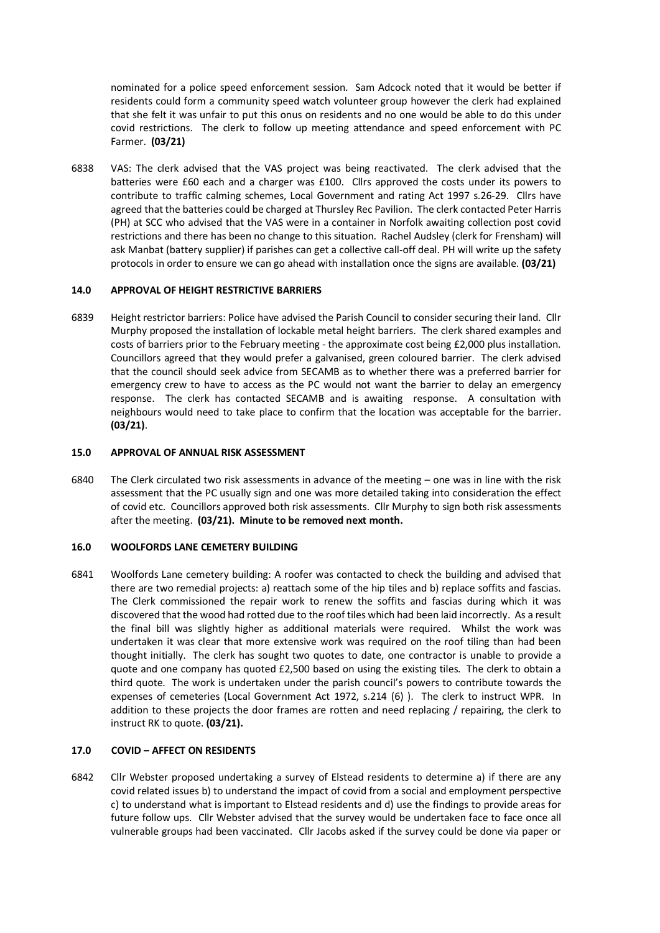nominated for a police speed enforcement session. Sam Adcock noted that it would be better if residents could form a community speed watch volunteer group however the clerk had explained that she felt it was unfair to put this onus on residents and no one would be able to do this under covid restrictions. The clerk to follow up meeting attendance and speed enforcement with PC Farmer. **(03/21)** 

6838 VAS: The clerk advised that the VAS project was being reactivated. The clerk advised that the batteries were £60 each and a charger was £100. Cllrs approved the costs under its powers to contribute to traffic calming schemes, Local Government and rating Act 1997 s.26-29. Cllrs have agreed that the batteries could be charged at Thursley Rec Pavilion. The clerk contacted Peter Harris (PH) at SCC who advised that the VAS were in a container in Norfolk awaiting collection post covid restrictions and there has been no change to this situation. Rachel Audsley (clerk for Frensham) will ask Manbat (battery supplier) if parishes can get a collective call-off deal. PH will write up the safety protocols in order to ensure we can go ahead with installation once the signs are available. **(03/21)** 

## **14.0 APPROVAL OF HEIGHT RESTRICTIVE BARRIERS**

6839 Height restrictor barriers: Police have advised the Parish Council to consider securing their land. Cllr Murphy proposed the installation of lockable metal height barriers. The clerk shared examples and costs of barriers prior to the February meeting - the approximate cost being £2,000 plus installation. Councillors agreed that they would prefer a galvanised, green coloured barrier. The clerk advised that the council should seek advice from SECAMB as to whether there was a preferred barrier for emergency crew to have to access as the PC would not want the barrier to delay an emergency response. The clerk has contacted SECAMB and is awaiting response. A consultation with neighbours would need to take place to confirm that the location was acceptable for the barrier. **(03/21)**.

#### **15.0 APPROVAL OF ANNUAL RISK ASSESSMENT**

6840 The Clerk circulated two risk assessments in advance of the meeting – one was in line with the risk assessment that the PC usually sign and one was more detailed taking into consideration the effect of covid etc. Councillors approved both risk assessments. Cllr Murphy to sign both risk assessments after the meeting. **(03/21). Minute to be removed next month.**

#### **16.0 WOOLFORDS LANE CEMETERY BUILDING**

6841 Woolfords Lane cemetery building: A roofer was contacted to check the building and advised that there are two remedial projects: a) reattach some of the hip tiles and b) replace soffits and fascias. The Clerk commissioned the repair work to renew the soffits and fascias during which it was discovered that the wood had rotted due to the roof tiles which had been laid incorrectly. As a result the final bill was slightly higher as additional materials were required. Whilst the work was undertaken it was clear that more extensive work was required on the roof tiling than had been thought initially. The clerk has sought two quotes to date, one contractor is unable to provide a quote and one company has quoted £2,500 based on using the existing tiles. The clerk to obtain a third quote. The work is undertaken under the parish council's powers to contribute towards the expenses of cemeteries (Local Government Act 1972, s.214 (6) ). The clerk to instruct WPR. In addition to these projects the door frames are rotten and need replacing / repairing, the clerk to instruct RK to quote. **(03/21).**

## **17.0 COVID – AFFECT ON RESIDENTS**

6842 Cllr Webster proposed undertaking a survey of Elstead residents to determine a) if there are any covid related issues b) to understand the impact of covid from a social and employment perspective c) to understand what is important to Elstead residents and d) use the findings to provide areas for future follow ups. Cllr Webster advised that the survey would be undertaken face to face once all vulnerable groups had been vaccinated. Cllr Jacobs asked if the survey could be done via paper or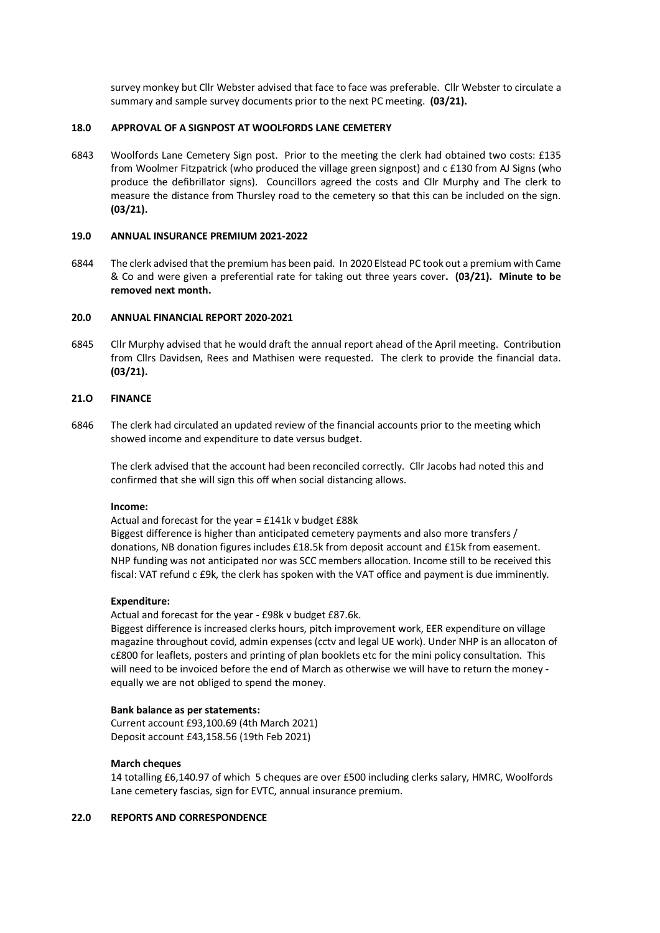survey monkey but Cllr Webster advised that face to face was preferable. Cllr Webster to circulate a summary and sample survey documents prior to the next PC meeting. **(03/21).**

#### **18.0 APPROVAL OF A SIGNPOST AT WOOLFORDS LANE CEMETERY**

6843 Woolfords Lane Cemetery Sign post. Prior to the meeting the clerk had obtained two costs: £135 from Woolmer Fitzpatrick (who produced the village green signpost) and c £130 from AJ Signs (who produce the defibrillator signs). Councillors agreed the costs and Cllr Murphy and The clerk to measure the distance from Thursley road to the cemetery so that this can be included on the sign. **(03/21).**

## **19.0 ANNUAL INSURANCE PREMIUM 2021-2022**

6844 The clerk advised that the premium has been paid. In 2020 Elstead PC took out a premium with Came & Co and were given a preferential rate for taking out three years cover**. (03/21). Minute to be removed next month.**

## **20.0 ANNUAL FINANCIAL REPORT 2020-2021**

6845 Cllr Murphy advised that he would draft the annual report ahead of the April meeting. Contribution from Cllrs Davidsen, Rees and Mathisen were requested. The clerk to provide the financial data. **(03/21).**

## **21.O FINANCE**

6846 The clerk had circulated an updated review of the financial accounts prior to the meeting which showed income and expenditure to date versus budget.

The clerk advised that the account had been reconciled correctly. Cllr Jacobs had noted this and confirmed that she will sign this off when social distancing allows.

#### **Income:**

Actual and forecast for the year = £141k v budget £88k

Biggest difference is higher than anticipated cemetery payments and also more transfers / donations, NB donation figures includes £18.5k from deposit account and £15k from easement. NHP funding was not anticipated nor was SCC members allocation. Income still to be received this fiscal: VAT refund c £9k, the clerk has spoken with the VAT office and payment is due imminently.

#### **Expenditure:**

Actual and forecast for the year - £98k v budget £87.6k.

Biggest difference is increased clerks hours, pitch improvement work, EER expenditure on village magazine throughout covid, admin expenses (cctv and legal UE work). Under NHP is an allocaton of c£800 for leaflets, posters and printing of plan booklets etc for the mini policy consultation. This will need to be invoiced before the end of March as otherwise we will have to return the money equally we are not obliged to spend the money.

#### **Bank balance as per statements:**

Current account £93,100.69 (4th March 2021) Deposit account £43,158.56 (19th Feb 2021)

# **March cheques**

14 totalling £6,140.97 of which 5 cheques are over £500 including clerks salary, HMRC, Woolfords Lane cemetery fascias, sign for EVTC, annual insurance premium.

## **22.0 REPORTS AND CORRESPONDENCE**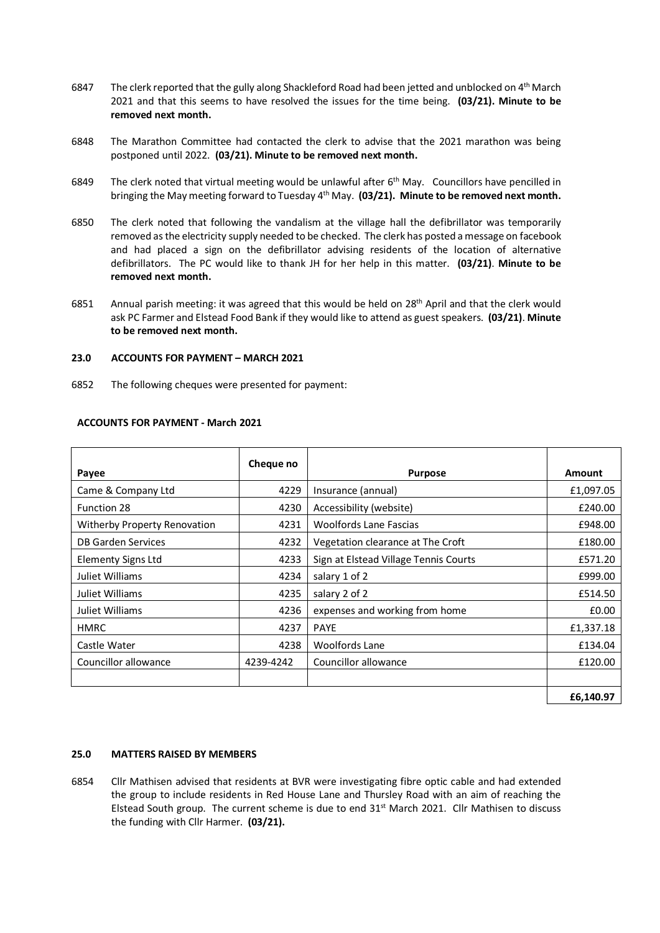- 6847 The clerk reported that the gully along Shackleford Road had been jetted and unblocked on  $4^{\text{th}}$  March 2021 and that this seems to have resolved the issues for the time being. **(03/21). Minute to be removed next month.**
- 6848 The Marathon Committee had contacted the clerk to advise that the 2021 marathon was being postponed until 2022. **(03/21). Minute to be removed next month.**
- 6849 The clerk noted that virtual meeting would be unlawful after 6<sup>th</sup> May. Councillors have pencilled in bringing the May meeting forward to Tuesday 4th May. **(03/21). Minute to be removed next month.**
- 6850 The clerk noted that following the vandalism at the village hall the defibrillator was temporarily removed as the electricity supply needed to be checked. The clerk has posted a message on facebook and had placed a sign on the defibrillator advising residents of the location of alternative defibrillators. The PC would like to thank JH for her help in this matter. **(03/21)**. **Minute to be removed next month.**
- 6851 Annual parish meeting: it was agreed that this would be held on 28<sup>th</sup> April and that the clerk would ask PC Farmer and Elstead Food Bank if they would like to attend as guest speakers. **(03/21)**. **Minute to be removed next month.**

# **23.0 ACCOUNTS FOR PAYMENT – MARCH 2021**

6852 The following cheques were presented for payment:

| Payee                        | Cheque no | <b>Purpose</b>                        | <b>Amount</b> |
|------------------------------|-----------|---------------------------------------|---------------|
| Came & Company Ltd           | 4229      | Insurance (annual)                    | £1,097.05     |
| <b>Function 28</b>           | 4230      | Accessibility (website)               | £240.00       |
| Witherby Property Renovation | 4231      | <b>Woolfords Lane Fascias</b>         | £948.00       |
| DB Garden Services           | 4232      | Vegetation clearance at The Croft     | £180.00       |
| <b>Elementy Signs Ltd</b>    | 4233      | Sign at Elstead Village Tennis Courts | £571.20       |
| Juliet Williams              | 4234      | salary 1 of 2                         | £999.00       |
| Juliet Williams              | 4235      | salary 2 of 2                         | £514.50       |
| Juliet Williams              | 4236      | expenses and working from home        | £0.00         |
| <b>HMRC</b>                  | 4237      | <b>PAYE</b>                           | £1,337.18     |
| Castle Water                 | 4238      | <b>Woolfords Lane</b>                 | £134.04       |
| Councillor allowance         | 4239-4242 | Councillor allowance                  | £120.00       |
|                              |           |                                       |               |
|                              |           |                                       | £6,140.97     |

# **ACCOUNTS FOR PAYMENT - March 2021**

#### **25.0 MATTERS RAISED BY MEMBERS**

6854 Cllr Mathisen advised that residents at BVR were investigating fibre optic cable and had extended the group to include residents in Red House Lane and Thursley Road with an aim of reaching the Elstead South group. The current scheme is due to end  $31<sup>st</sup>$  March 2021. Cllr Mathisen to discuss the funding with Cllr Harmer. **(03/21).**